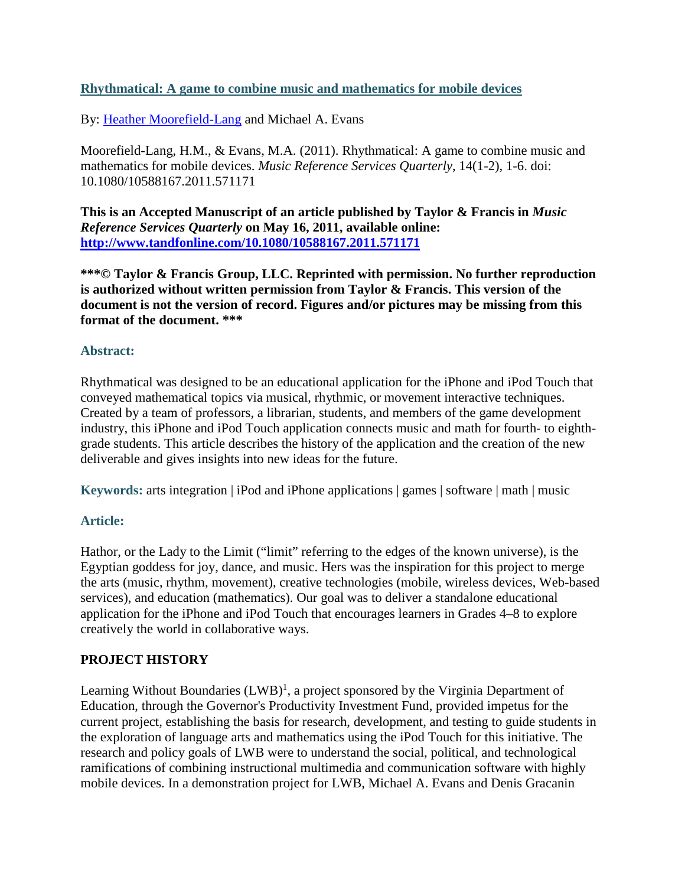# **Rhythmatical: A game to combine music and mathematics for mobile devices**

By: [Heather Moorefield-Lang](https://libres.uncg.edu/ir/uncg/clist.aspx?id=14828) and Michael A. Evans

Moorefield-Lang, H.M., & Evans, M.A. (2011). Rhythmatical: A game to combine music and mathematics for mobile devices. *Music Reference Services Quarterly*, 14(1-2), 1-6. doi: 10.1080/10588167.2011.571171

**This is an Accepted Manuscript of an article published by Taylor & Francis in** *Music Reference Services Quarterly* **on May 16, 2011, available online: <http://www.tandfonline.com/10.1080/10588167.2011.571171>**

**\*\*\*© Taylor & Francis Group, LLC. Reprinted with permission. No further reproduction is authorized without written permission from Taylor & Francis. This version of the document is not the version of record. Figures and/or pictures may be missing from this format of the document. \*\*\***

# **Abstract:**

Rhythmatical was designed to be an educational application for the iPhone and iPod Touch that conveyed mathematical topics via musical, rhythmic, or movement interactive techniques. Created by a team of professors, a librarian, students, and members of the game development industry, this iPhone and iPod Touch application connects music and math for fourth- to eighthgrade students. This article describes the history of the application and the creation of the new deliverable and gives insights into new ideas for the future.

**Keywords:** arts integration | iPod and iPhone applications | games | software | math | music

# **Article:**

Hathor, or the Lady to the Limit ("limit" referring to the edges of the known universe), is the Egyptian goddess for joy, dance, and music. Hers was the inspiration for this project to merge the arts (music, rhythm, movement), creative technologies (mobile, wireless devices, Web-based services), and education (mathematics). Our goal was to deliver a standalone educational application for the iPhone and iPod Touch that encourages learners in Grades 4–8 to explore creatively the world in collaborative ways.

# **PROJECT HISTORY**

Learning Without Boundaries  $(LWB)^1$ , a project sponsored by the Virginia Department of Education, through the Governor's Productivity Investment Fund, provided impetus for the current project, establishing the basis for research, development, and testing to guide students in the exploration of language arts and mathematics using the iPod Touch for this initiative. The research and policy goals of LWB were to understand the social, political, and technological ramifications of combining instructional multimedia and communication software with highly mobile devices. In a demonstration project for LWB, Michael A. Evans and Denis Gracanin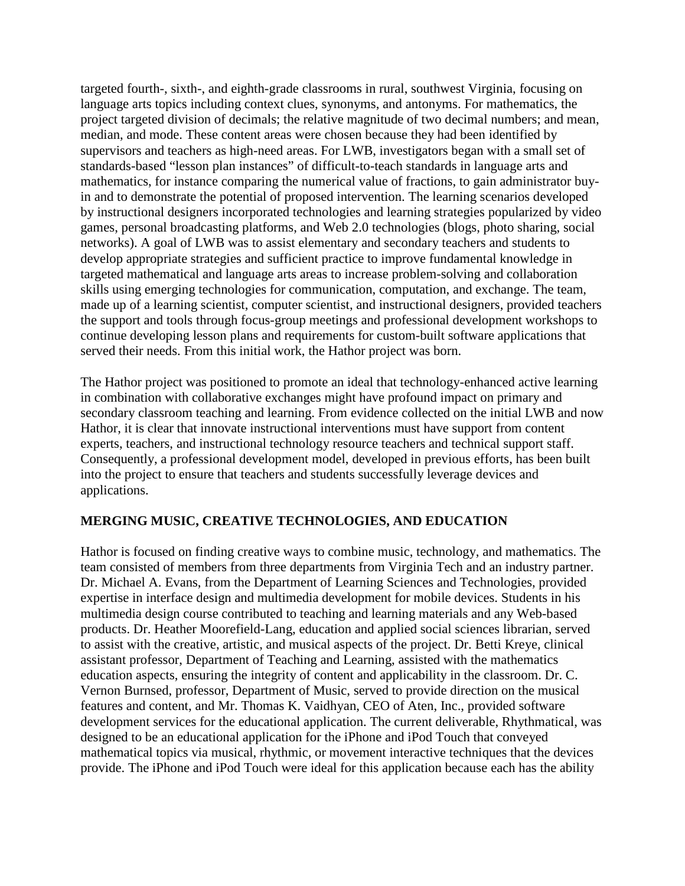targeted fourth-, sixth-, and eighth-grade classrooms in rural, southwest Virginia, focusing on language arts topics including context clues, synonyms, and antonyms. For mathematics, the project targeted division of decimals; the relative magnitude of two decimal numbers; and mean, median, and mode. These content areas were chosen because they had been identified by supervisors and teachers as high-need areas. For LWB, investigators began with a small set of standards-based "lesson plan instances" of difficult-to-teach standards in language arts and mathematics, for instance comparing the numerical value of fractions, to gain administrator buyin and to demonstrate the potential of proposed intervention. The learning scenarios developed by instructional designers incorporated technologies and learning strategies popularized by video games, personal broadcasting platforms, and Web 2.0 technologies (blogs, photo sharing, social networks). A goal of LWB was to assist elementary and secondary teachers and students to develop appropriate strategies and sufficient practice to improve fundamental knowledge in targeted mathematical and language arts areas to increase problem-solving and collaboration skills using emerging technologies for communication, computation, and exchange. The team, made up of a learning scientist, computer scientist, and instructional designers, provided teachers the support and tools through focus-group meetings and professional development workshops to continue developing lesson plans and requirements for custom-built software applications that served their needs. From this initial work, the Hathor project was born.

The Hathor project was positioned to promote an ideal that technology-enhanced active learning in combination with collaborative exchanges might have profound impact on primary and secondary classroom teaching and learning. From evidence collected on the initial LWB and now Hathor, it is clear that innovate instructional interventions must have support from content experts, teachers, and instructional technology resource teachers and technical support staff. Consequently, a professional development model, developed in previous efforts, has been built into the project to ensure that teachers and students successfully leverage devices and applications.

# **MERGING MUSIC, CREATIVE TECHNOLOGIES, AND EDUCATION**

Hathor is focused on finding creative ways to combine music, technology, and mathematics. The team consisted of members from three departments from Virginia Tech and an industry partner. Dr. Michael A. Evans, from the Department of Learning Sciences and Technologies, provided expertise in interface design and multimedia development for mobile devices. Students in his multimedia design course contributed to teaching and learning materials and any Web-based products. Dr. Heather Moorefield-Lang, education and applied social sciences librarian, served to assist with the creative, artistic, and musical aspects of the project. Dr. Betti Kreye, clinical assistant professor, Department of Teaching and Learning, assisted with the mathematics education aspects, ensuring the integrity of content and applicability in the classroom. Dr. C. Vernon Burnsed, professor, Department of Music, served to provide direction on the musical features and content, and Mr. Thomas K. Vaidhyan, CEO of Aten, Inc., provided software development services for the educational application. The current deliverable, Rhythmatical, was designed to be an educational application for the iPhone and iPod Touch that conveyed mathematical topics via musical, rhythmic, or movement interactive techniques that the devices provide. The iPhone and iPod Touch were ideal for this application because each has the ability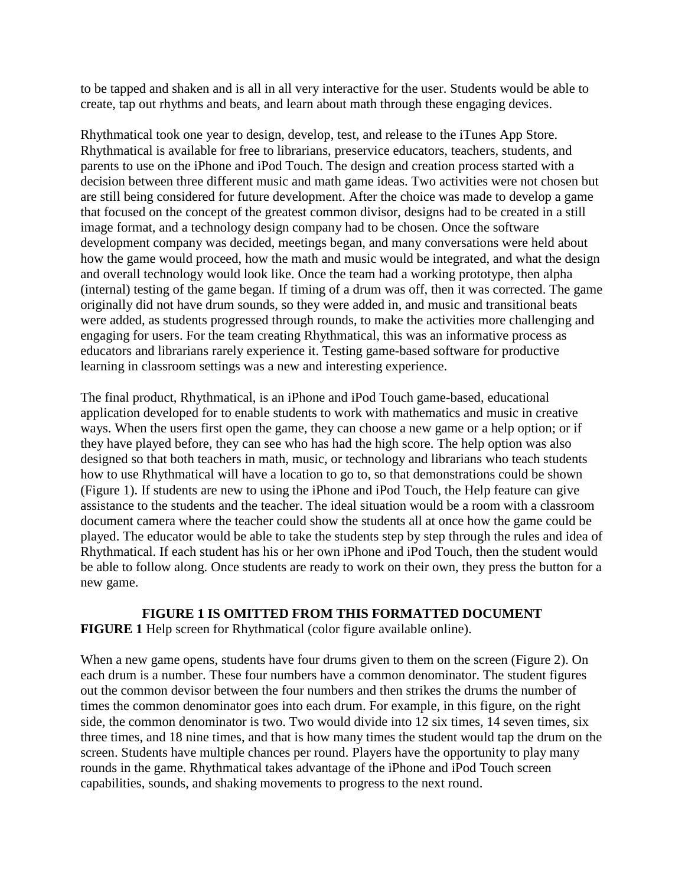to be tapped and shaken and is all in all very interactive for the user. Students would be able to create, tap out rhythms and beats, and learn about math through these engaging devices.

Rhythmatical took one year to design, develop, test, and release to the iTunes App Store. Rhythmatical is available for free to librarians, preservice educators, teachers, students, and parents to use on the iPhone and iPod Touch. The design and creation process started with a decision between three different music and math game ideas. Two activities were not chosen but are still being considered for future development. After the choice was made to develop a game that focused on the concept of the greatest common divisor, designs had to be created in a still image format, and a technology design company had to be chosen. Once the software development company was decided, meetings began, and many conversations were held about how the game would proceed, how the math and music would be integrated, and what the design and overall technology would look like. Once the team had a working prototype, then alpha (internal) testing of the game began. If timing of a drum was off, then it was corrected. The game originally did not have drum sounds, so they were added in, and music and transitional beats were added, as students progressed through rounds, to make the activities more challenging and engaging for users. For the team creating Rhythmatical, this was an informative process as educators and librarians rarely experience it. Testing game-based software for productive learning in classroom settings was a new and interesting experience.

The final product, Rhythmatical, is an iPhone and iPod Touch game-based, educational application developed for to enable students to work with mathematics and music in creative ways. When the users first open the game, they can choose a new game or a help option; or if they have played before, they can see who has had the high score. The help option was also designed so that both teachers in math, music, or technology and librarians who teach students how to use Rhythmatical will have a location to go to, so that demonstrations could be shown (Figure 1). If students are new to using the iPhone and iPod Touch, the Help feature can give assistance to the students and the teacher. The ideal situation would be a room with a classroom document camera where the teacher could show the students all at once how the game could be played. The educator would be able to take the students step by step through the rules and idea of Rhythmatical. If each student has his or her own iPhone and iPod Touch, then the student would be able to follow along. Once students are ready to work on their own, they press the button for a new game.

**FIGURE 1 IS OMITTED FROM THIS FORMATTED DOCUMENT FIGURE 1** Help screen for Rhythmatical (color figure available online).

When a new game opens, students have four drums given to them on the screen (Figure 2). On each drum is a number. These four numbers have a common denominator. The student figures out the common devisor between the four numbers and then strikes the drums the number of times the common denominator goes into each drum. For example, in this figure, on the right side, the common denominator is two. Two would divide into 12 six times, 14 seven times, six three times, and 18 nine times, and that is how many times the student would tap the drum on the screen. Students have multiple chances per round. Players have the opportunity to play many rounds in the game. Rhythmatical takes advantage of the iPhone and iPod Touch screen capabilities, sounds, and shaking movements to progress to the next round.